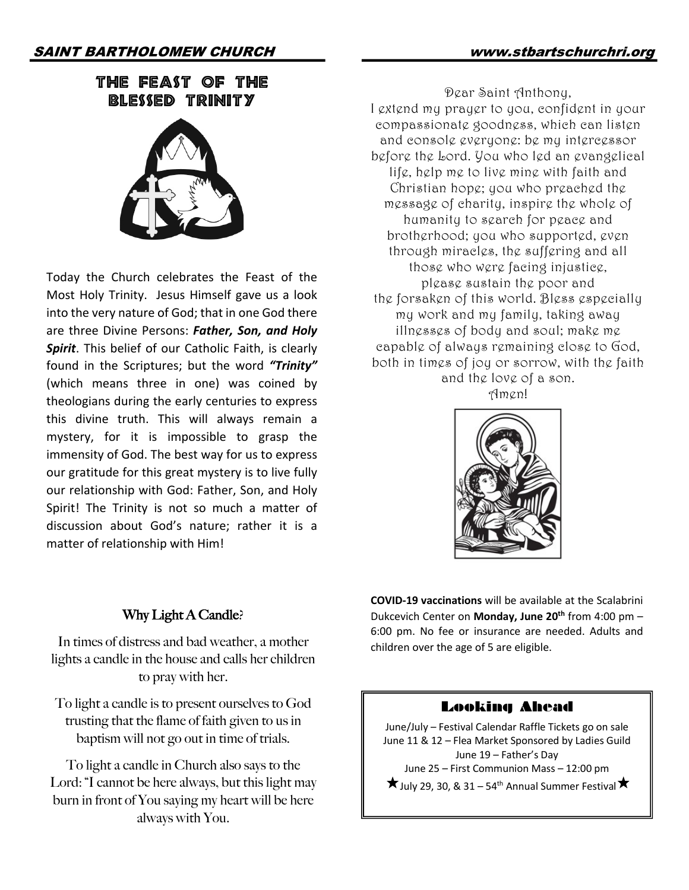# THE FEAST OF THE BLESSED TRINITY



Today the Church celebrates the Feast of the Most Holy Trinity. Jesus Himself gave us a look into the very nature of God; that in one God there are three Divine Persons: *Father, Son, and Holy Spirit*. This belief of our Catholic Faith, is clearly found in the Scriptures; but the word *"Trinity"* (which means three in one) was coined by theologians during the early centuries to express this divine truth. This will always remain a mystery, for it is impossible to grasp the immensity of God. The best way for us to express our gratitude for this great mystery is to live fully our relationship with God: Father, Son, and Holy Spirit! The Trinity is not so much a matter of discussion about God's nature; rather it is a matter of relationship with Him!

Dear Saint Anthony, I extend my prayer to you, confident in your compassionate goodness, which can listen and console everyone: be my intercessor before the Lord. You who led an evangelical life, help me to live mine with faith and Christian hope; you who preached the message of charity, inspire the whole of humanity to search for peace and brotherhood; you who supported, even through miracles, the suffering and all those who were facing injustice, please sustain the poor and the forsaken of this world. Bless especially my work and my family, taking away illnesses of body and soul; make me capable of always remaining close to God, both in times of joy or sorrow, with the faith and the love of a son.

Amen!



## Why Light A Candle?

In times of distress and bad weather, a mother lights a candle in the house and calls her children to pray with her.

To light a candle is to present ourselves to God trusting that the flame of faith given to us in baptism will not go out in time of trials.

To light a candle in Church also says to the Lord: "I cannot be here always, but this light may burn in front of You saying my heart will be here always with You.

**COVID-19 vaccinations** will be available at the Scalabrini Dukcevich Center on **Monday, June 20th** from 4:00 pm – 6:00 pm. No fee or insurance are needed. Adults and children over the age of 5 are eligible.